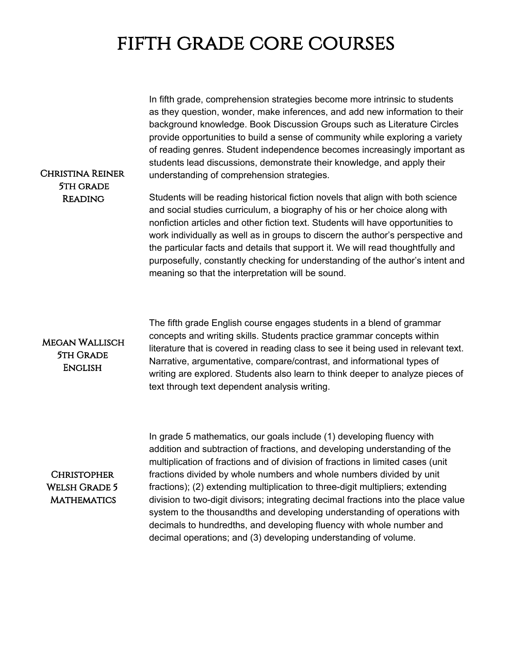# fifth grade core courses

In fifth grade, comprehension strategies become more intrinsic to students as they question, wonder, make inferences, and add new information to their background knowledge. Book Discussion Groups such as Literature Circles provide opportunities to build a sense of community while exploring a variety of reading genres. Student independence becomes increasingly important as students lead discussions, demonstrate their knowledge, and apply their understanding of comprehension strategies.

#### Christina Reiner 5th grade Reading

Students will be reading historical fiction novels that align with both science and social studies curriculum, a biography of his or her choice along with nonfiction articles and other fiction text. Students will have opportunities to work individually as well as in groups to discern the author's perspective and the particular facts and details that support it. We will read thoughtfully and purposefully, constantly checking for understanding of the author's intent and meaning so that the interpretation will be sound.

#### Megan Wallisch **5TH GRADE ENGLISH**

The fifth grade English course engages students in a blend of grammar concepts and writing skills. Students practice grammar concepts within literature that is covered in reading class to see it being used in relevant text. Narrative, argumentative, compare/contrast, and informational types of writing are explored. Students also learn to think deeper to analyze pieces of text through text dependent analysis writing.

### **CHRISTOPHER** Welsh Grade 5 **MATHEMATICS**

In grade 5 mathematics, our goals include (1) developing fluency with addition and subtraction of fractions, and developing understanding of the multiplication of fractions and of division of fractions in limited cases (unit fractions divided by whole numbers and whole numbers divided by unit fractions); (2) extending multiplication to three-digit multipliers; extending division to two-digit divisors; integrating decimal fractions into the place value system to the thousandths and developing understanding of operations with decimals to hundredths, and developing fluency with whole number and decimal operations; and (3) developing understanding of volume.